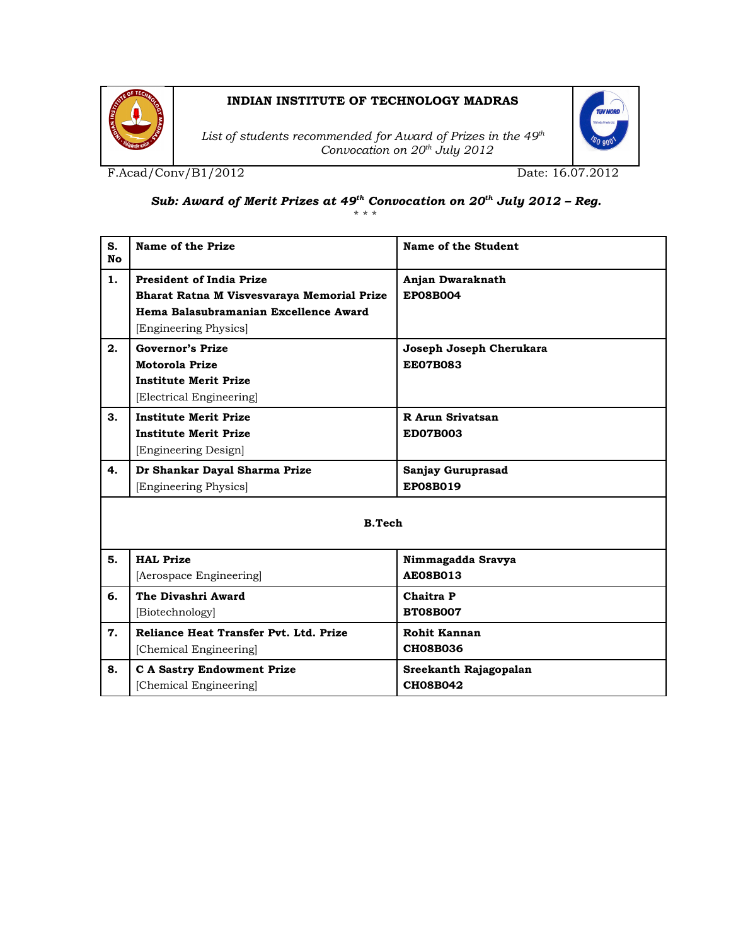

## **INDIAN INSTITUTE OF TECHNOLOGY MADRAS**

*List of students recommended for Award of Prizes in the 49th Convocation on 20th July 2012*

F.Acad/Conv/B1/2012 Date: 16.07.2012

## *Sub: Award of Merit Prizes at 49th Convocation on 20th July 2012 – Reg.*

\* \* \*

| S.<br><b>No</b> | Name of the Prize                          | Name of the Student     |
|-----------------|--------------------------------------------|-------------------------|
| 1.              | <b>President of India Prize</b>            | Anjan Dwaraknath        |
|                 | Bharat Ratna M Visvesvaraya Memorial Prize | <b>EP08B004</b>         |
|                 | Hema Balasubramanian Excellence Award      |                         |
|                 | [Engineering Physics]                      |                         |
| 2.              | <b>Governor's Prize</b>                    | Joseph Joseph Cherukara |
|                 | Motorola Prize                             | <b>EE07B083</b>         |
|                 | <b>Institute Merit Prize</b>               |                         |
|                 | [Electrical Engineering]                   |                         |
| 3.              | <b>Institute Merit Prize</b>               | R Arun Srivatsan        |
|                 | <b>Institute Merit Prize</b>               | <b>ED07B003</b>         |
|                 | [Engineering Design]                       |                         |
| 4.              | Dr Shankar Dayal Sharma Prize              | Sanjay Guruprasad       |
|                 | [Engineering Physics]                      | EP08B019                |
| <b>B.Tech</b>   |                                            |                         |
| 5.              | <b>HAL Prize</b>                           | Nimmagadda Sravya       |
|                 | [Aerospace Engineering]                    | <b>AE08B013</b>         |
| 6.              | The Divashri Award                         | Chaitra P               |
|                 | [Biotechnology]                            | <b>BT08B007</b>         |
| 7.              | Reliance Heat Transfer Pvt. Ltd. Prize     | Rohit Kannan            |
|                 | [Chemical Engineering]                     | <b>CH08B036</b>         |
| 8.              | <b>C A Sastry Endowment Prize</b>          | Sreekanth Rajagopalan   |
|                 | [Chemical Engineering]                     | <b>CH08B042</b>         |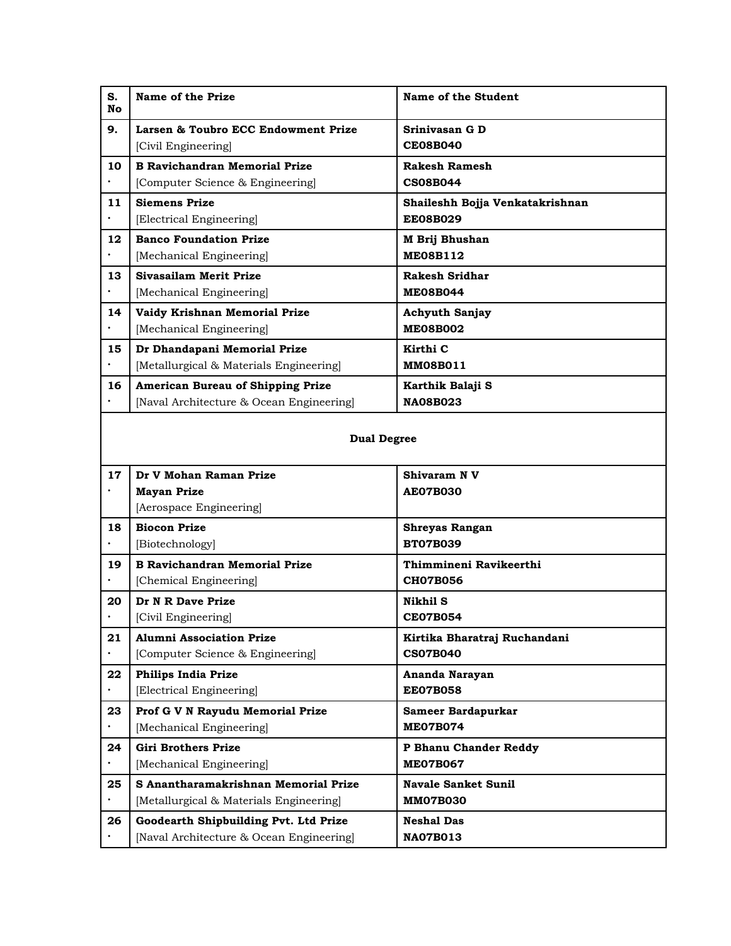| S.<br>No        | Name of the Prize                                          | Name of the Student                           |  |
|-----------------|------------------------------------------------------------|-----------------------------------------------|--|
| 9.              | Larsen & Toubro ECC Endowment Prize<br>[Civil Engineering] | Srinivasan G D<br><b>CE08B040</b>             |  |
| 10              | <b>B Ravichandran Memorial Prize</b>                       | Rakesh Ramesh                                 |  |
| $\bullet$       | [Computer Science & Engineering]                           | <b>CS08B044</b>                               |  |
| 11              | <b>Siemens Prize</b>                                       | Shaileshh Bojja Venkatakrishnan               |  |
| $\bullet$       | [Electrical Engineering]                                   | <b>EE08B029</b>                               |  |
| 12              | <b>Banco Foundation Prize</b><br>[Mechanical Engineering]  | M Brij Bhushan<br><b>ME08B112</b>             |  |
| 13              | Sivasailam Merit Prize                                     | Rakesh Sridhar                                |  |
|                 | [Mechanical Engineering]                                   | <b>ME08B044</b>                               |  |
| 14              | Vaidy Krishnan Memorial Prize                              | <b>Achyuth Sanjay</b>                         |  |
|                 | [Mechanical Engineering]                                   | <b>ME08B002</b>                               |  |
| 15              | Dr Dhandapani Memorial Prize                               | Kirthi C                                      |  |
|                 | [Metallurgical & Materials Engineering]                    | <b>MM08B011</b>                               |  |
| 16              | <b>American Bureau of Shipping Prize</b>                   | Karthik Balaji S                              |  |
|                 | [Naval Architecture & Ocean Engineering]                   | <b>NA08B023</b>                               |  |
|                 | <b>Dual Degree</b>                                         |                                               |  |
| 17              | Dr V Mohan Raman Prize                                     | Shivaram N V                                  |  |
| $\bullet$       | <b>Mayan Prize</b><br>[Aerospace Engineering]              | <b>AE07B030</b>                               |  |
| 18              | <b>Biocon Prize</b>                                        |                                               |  |
|                 | [Biotechnology]                                            | <b>Shreyas Rangan</b><br><b>BT07B039</b>      |  |
| 19              | <b>B Ravichandran Memorial Prize</b>                       | Thimmineni Ravikeerthi                        |  |
|                 | [Chemical Engineering]                                     | <b>CH07B056</b>                               |  |
| 20              | Dr N R Dave Prize                                          | Nikhil S                                      |  |
|                 | [Civil Engineering]                                        | <b>CE07B054</b>                               |  |
| 21              | <b>Alumni Association Prize</b>                            | Kirtika Bharatraj Ruchandani                  |  |
| $\bullet$       | [Computer Science & Engineering]                           | <b>CS07B040</b>                               |  |
| 22              | <b>Philips India Prize</b>                                 | Ananda Narayan                                |  |
|                 | [Electrical Engineering]                                   | <b>EE07B058</b>                               |  |
| 23              | Prof G V N Rayudu Memorial Prize                           | Sameer Bardapurkar<br><b>MEO7B074</b>         |  |
| $\bullet$       | [Mechanical Engineering]                                   |                                               |  |
| 24              | <b>Giri Brothers Prize</b><br>[Mechanical Engineering]     | P Bhanu Chander Reddy<br><b>MEO7B067</b>      |  |
|                 | S Anantharamakrishnan Memorial Prize                       |                                               |  |
| 25<br>$\bullet$ | [Metallurgical & Materials Engineering]                    | <b>Navale Sanket Sunil</b><br><b>MM07B030</b> |  |
| 26              | Goodearth Shipbuilding Pvt. Ltd Prize                      | <b>Neshal Das</b>                             |  |
|                 |                                                            |                                               |  |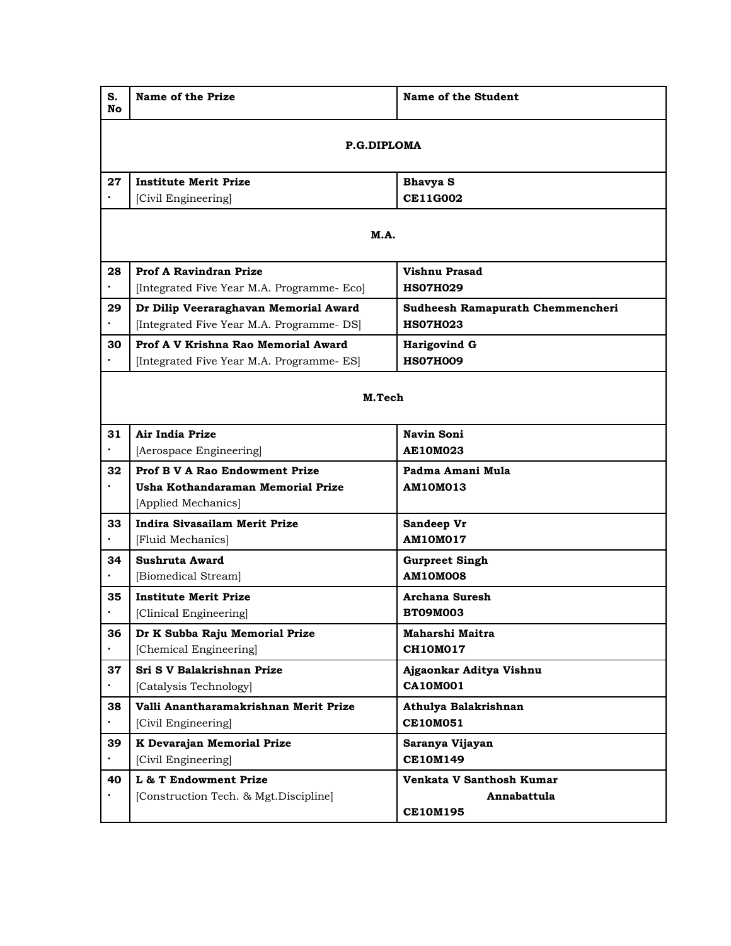| S.<br>No.   | Name of the Prize                          | Name of the Student                     |  |
|-------------|--------------------------------------------|-----------------------------------------|--|
| P.G.DIPLOMA |                                            |                                         |  |
| 27          | <b>Institute Merit Prize</b>               | <b>Bhavya S</b>                         |  |
|             | [Civil Engineering]                        | <b>CE11G002</b>                         |  |
|             |                                            |                                         |  |
|             | <b>M.A.</b>                                |                                         |  |
| 28          | <b>Prof A Ravindran Prize</b>              | <b>Vishnu Prasad</b>                    |  |
| $\bullet$   | [Integrated Five Year M.A. Programme- Eco] | <b>HS07H029</b>                         |  |
| 29          | Dr Dilip Veeraraghavan Memorial Award      | <b>Sudheesh Ramapurath Chemmencheri</b> |  |
|             | [Integrated Five Year M.A. Programme- DS]  | <b>HSO7H023</b>                         |  |
| 30          | Prof A V Krishna Rao Memorial Award        | <b>Harigovind G</b>                     |  |
|             | [Integrated Five Year M.A. Programme- ES]  | <b>HSO7H009</b>                         |  |
| M.Tech      |                                            |                                         |  |
| 31          | Air India Prize                            | Navin Soni                              |  |
|             | [Aerospace Engineering]                    | <b>AE10M023</b>                         |  |
| 32          | <b>Prof B V A Rao Endowment Prize</b>      | Padma Amani Mula                        |  |
|             | Usha Kothandaraman Memorial Prize          | <b>AM10M013</b>                         |  |
|             | [Applied Mechanics]                        |                                         |  |
| 33          | <b>Indira Sivasailam Merit Prize</b>       | Sandeep Vr                              |  |
|             | [Fluid Mechanics]                          | <b>AM10M017</b>                         |  |
| 34          | Sushruta Award                             | <b>Gurpreet Singh</b>                   |  |
|             | [Biomedical Stream]                        | <b>AM10M008</b>                         |  |
| 35          | <b>Institute Merit Prize</b>               | <b>Archana Suresh</b>                   |  |
|             | [Clinical Engineering]                     | <b>BT09M003</b>                         |  |
| 36          | Dr K Subba Raju Memorial Prize             | Maharshi Maitra                         |  |
|             | [Chemical Engineering]                     | <b>CH10M017</b>                         |  |
| 37          | Sri S V Balakrishnan Prize                 | Ajgaonkar Aditya Vishnu                 |  |
|             | [Catalysis Technology]                     | <b>CA10M001</b>                         |  |
| 38          | Valli Anantharamakrishnan Merit Prize      | Athulya Balakrishnan                    |  |
|             | [Civil Engineering]                        | <b>CE10M051</b>                         |  |
| 39          | K Devarajan Memorial Prize                 | Saranya Vijayan                         |  |
|             | [Civil Engineering]                        | <b>CE10M149</b>                         |  |
| 40          | L & T Endowment Prize                      | Venkata V Santhosh Kumar                |  |
|             | [Construction Tech. & Mgt.Discipline]      | Annabattula                             |  |
|             |                                            | <b>CE10M195</b>                         |  |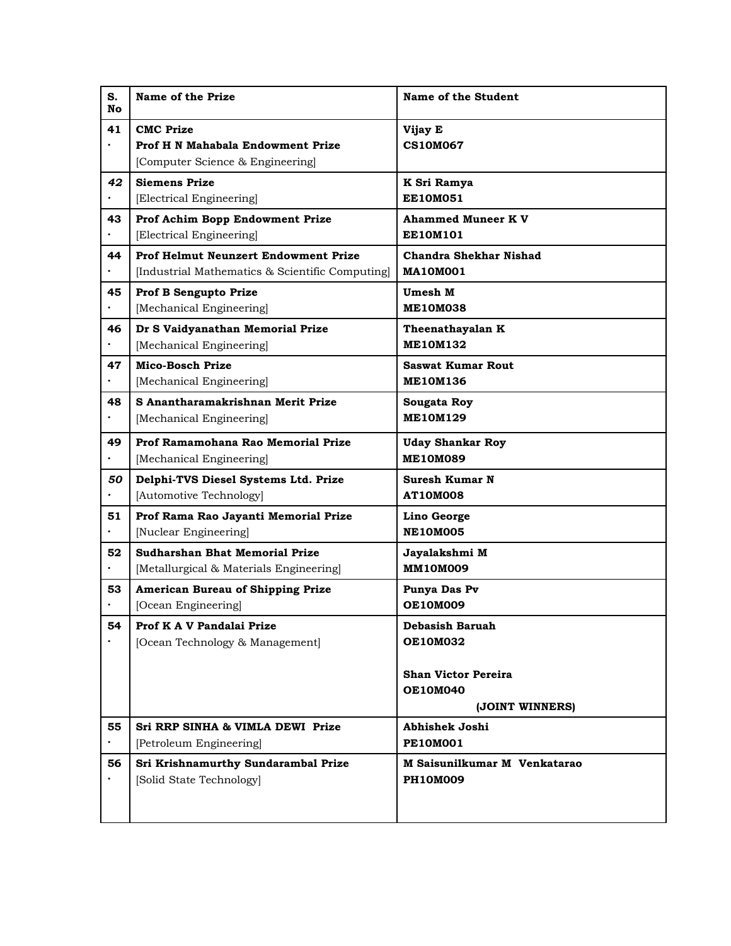| S.<br><b>No</b> | Name of the Prize                               | Name of the Student                           |
|-----------------|-------------------------------------------------|-----------------------------------------------|
| 41              | <b>CMC</b> Prize                                | Vijay E                                       |
| $\bullet$       | Prof H N Mahabala Endowment Prize               | <b>CS10M067</b>                               |
|                 | [Computer Science & Engineering]                |                                               |
| 42              | <b>Siemens Prize</b>                            | K Sri Ramya                                   |
|                 | [Electrical Engineering]                        | <b>EE10M051</b>                               |
| 43              | Prof Achim Bopp Endowment Prize                 | <b>Ahammed Muneer K V</b>                     |
|                 | [Electrical Engineering]                        | <b>EE10M101</b>                               |
| 44              | <b>Prof Helmut Neunzert Endowment Prize</b>     | <b>Chandra Shekhar Nishad</b>                 |
|                 | [Industrial Mathematics & Scientific Computing] | <b>MA10M001</b>                               |
| 45              | Prof B Sengupto Prize                           | Umesh M                                       |
|                 | [Mechanical Engineering]                        | <b>ME10M038</b>                               |
| 46              | Dr S Vaidyanathan Memorial Prize                | Theenathayalan K                              |
|                 | [Mechanical Engineering]                        | <b>ME10M132</b>                               |
| 47              | <b>Mico-Bosch Prize</b>                         | <b>Saswat Kumar Rout</b>                      |
|                 | [Mechanical Engineering]                        | <b>ME10M136</b>                               |
| 48              | S Anantharamakrishnan Merit Prize               | Sougata Roy                                   |
| $\bullet$       | [Mechanical Engineering]                        | <b>ME10M129</b>                               |
| 49              | Prof Ramamohana Rao Memorial Prize              | <b>Uday Shankar Roy</b>                       |
|                 | [Mechanical Engineering]                        | <b>ME10M089</b>                               |
| 50              | Delphi-TVS Diesel Systems Ltd. Prize            | Suresh Kumar N                                |
|                 | [Automotive Technology]                         | <b>AT10M008</b>                               |
| 51              | Prof Rama Rao Jayanti Memorial Prize            | Lino George                                   |
|                 | [Nuclear Engineering]                           | <b>NE10M005</b>                               |
| 52              | Sudharshan Bhat Memorial Prize                  | Jayalakshmi M                                 |
| $\bullet$       | [Metallurgical & Materials Engineering]         | <b>MM10M009</b>                               |
| 53              | <b>American Bureau of Shipping Prize</b>        | Punya Das Pv                                  |
|                 | [Ocean Engineering]                             | <b>OE10M009</b>                               |
| 54              | Prof K A V Pandalai Prize                       | Debasish Baruah                               |
|                 | [Ocean Technology & Management]                 | <b>OE10M032</b>                               |
|                 |                                                 |                                               |
|                 |                                                 | <b>Shan Victor Pereira</b><br><b>OE10M040</b> |
|                 |                                                 | (JOINT WINNERS)                               |
| 55              | Sri RRP SINHA & VIMLA DEWI Prize                | Abhishek Joshi                                |
|                 | [Petroleum Engineering]                         | <b>PE10M001</b>                               |
| 56              | Sri Krishnamurthy Sundarambal Prize             | M Saisunilkumar M Venkatarao                  |
|                 | [Solid State Technology]                        | <b>PH10M009</b>                               |
|                 |                                                 |                                               |
|                 |                                                 |                                               |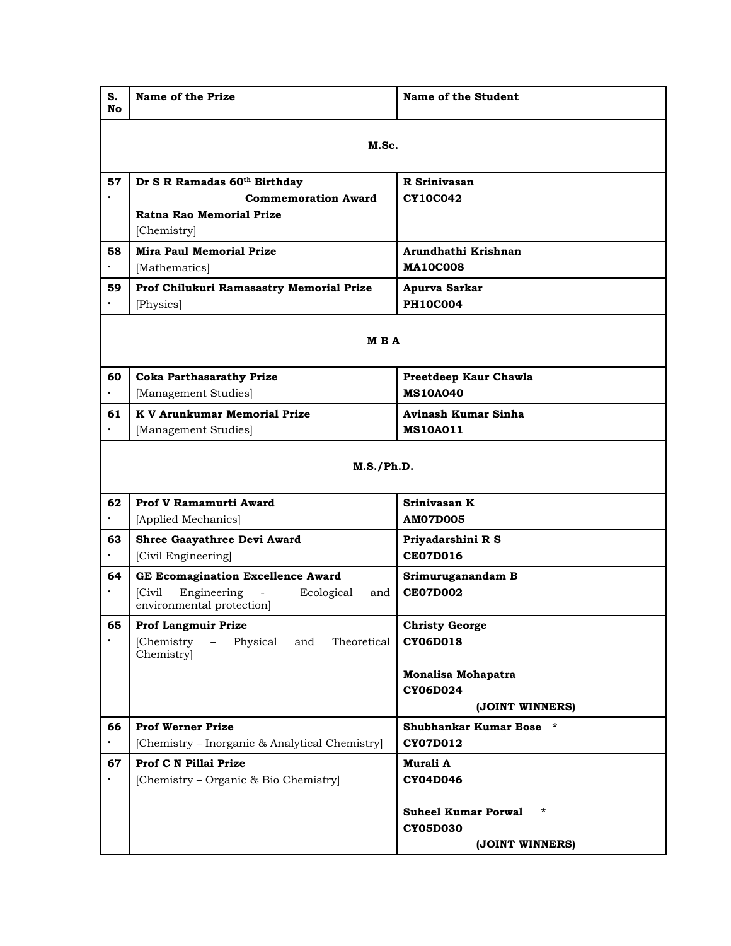| S.<br><b>No</b> | Name of the Prize                                         | Name of the Student                                                        |  |
|-----------------|-----------------------------------------------------------|----------------------------------------------------------------------------|--|
|                 | M.Sc.                                                     |                                                                            |  |
| 57              | Dr S R Ramadas 60th Birthday                              | R Srinivasan                                                               |  |
|                 | <b>Commemoration Award</b>                                | <b>CY10C042</b>                                                            |  |
|                 | Ratna Rao Memorial Prize                                  |                                                                            |  |
|                 | [Chemistry]                                               |                                                                            |  |
| 58              | <b>Mira Paul Memorial Prize</b>                           | Arundhathi Krishnan                                                        |  |
|                 | [Mathematics]                                             | <b>MA10C008</b>                                                            |  |
| 59              | Prof Chilukuri Ramasastry Memorial Prize                  | Apurva Sarkar                                                              |  |
|                 | [Physics]                                                 | <b>PH10C004</b>                                                            |  |
| M B A           |                                                           |                                                                            |  |
| 60              | <b>Coka Parthasarathy Prize</b>                           | Preetdeep Kaur Chawla                                                      |  |
| $\bullet$       | [Management Studies]                                      | <b>MS10A040</b>                                                            |  |
| 61              | <b>K V Arunkumar Memorial Prize</b>                       | Avinash Kumar Sinha                                                        |  |
|                 | [Management Studies]                                      | <b>MS10A011</b>                                                            |  |
| M.S./Ph.D.      |                                                           |                                                                            |  |
| 62              | Prof V Ramamurti Award<br>[Applied Mechanics]             | Srinivasan K<br><b>AM07D005</b>                                            |  |
| 63              | Shree Gaayathree Devi Award                               | Priyadarshini R S                                                          |  |
|                 | [Civil Engineering]                                       | <b>CE07D016</b>                                                            |  |
| 64              | <b>GE Ecomagination Excellence Award</b>                  | Srimuruganandam B                                                          |  |
| $\bullet$       | [Civil]<br>Engineering<br>Ecological<br>and               | <b>CE07D002</b>                                                            |  |
|                 | environmental protection]                                 |                                                                            |  |
| 65              | <b>Prof Langmuir Prize</b>                                | <b>Christy George</b>                                                      |  |
|                 | [Chemistry<br>Physical<br>Theoretical<br>and<br>Chemistry | <b>CY06D018</b>                                                            |  |
|                 |                                                           | Monalisa Mohapatra                                                         |  |
|                 |                                                           | <b>CY06D024</b>                                                            |  |
|                 |                                                           | (JOINT WINNERS)                                                            |  |
| 66              | <b>Prof Werner Prize</b>                                  | Shubhankar Kumar Bose *                                                    |  |
| $\bullet$       | [Chemistry – Inorganic & Analytical Chemistry]            | CY07D012                                                                   |  |
| 67              | Prof C N Pillai Prize                                     | Murali A                                                                   |  |
|                 | [Chemistry – Organic & Bio Chemistry]                     | <b>CY04D046</b>                                                            |  |
|                 |                                                           | <b>Suheel Kumar Porwal</b><br>$\ast$<br><b>CY05D030</b><br>(JOINT WINNERS) |  |